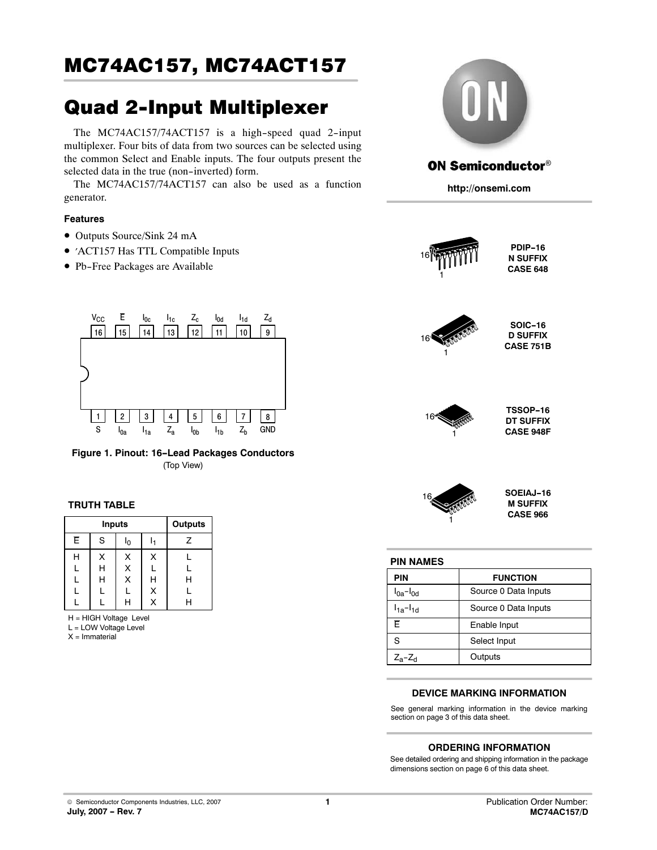# Quad 2-Input Multiplexer

The MC74AC157/74ACT157 is a high-speed quad 2-input multiplexer. Four bits of data from two sources can be selected using the common Select and Enable inputs. The four outputs present the selected data in the true (non-inverted) form.

The MC74AC157/74ACT157 can also be used as a function generator.

### **Features**

- Outputs Source/Sink 24 mA
- ′ACT157 Has TTL Compatible Inputs
- · Pb-Free Packages are Available



**Figure 1. Pinout: 16-Lead Packages Conductors** (Top View)

# **TRUTH TABLE**

|                | Outputs |                |   |   |
|----------------|---------|----------------|---|---|
| $\overline{E}$ | S       | l <sub>0</sub> |   | Ζ |
| н              | х       | Χ              | X |   |
| L              | Н       | X              |   |   |
| L              | Н       | X              | Н | H |
| L              |         | L              | X |   |
|                |         | н              | X |   |

H = HIGH Voltage Level

L = LOW Voltage Level

X = Immaterial



# **ON Semiconductor®**

**http://onsemi.com**



#### **PIN NAMES**

| <b>PIN</b>                     | <b>FUNCTION</b>      |
|--------------------------------|----------------------|
| $I0a-I0d$                      | Source 0 Data Inputs |
| $I_{1a}$ - $I_{1d}$            | Source 0 Data Inputs |
| F                              | Enable Input         |
| S                              | Select Input         |
| Z <sub>a</sub> -Z <sub>d</sub> | Outputs              |

#### **DEVICE MARKING INFORMATION**

See general marking information in the device marking section on page [3 of this data sheet.](#page-2-0)

### **ORDERING INFORMATION**

See detailed ordering and shipping information in the package dimensions section on page [6 of this data sheet.](#page-5-0)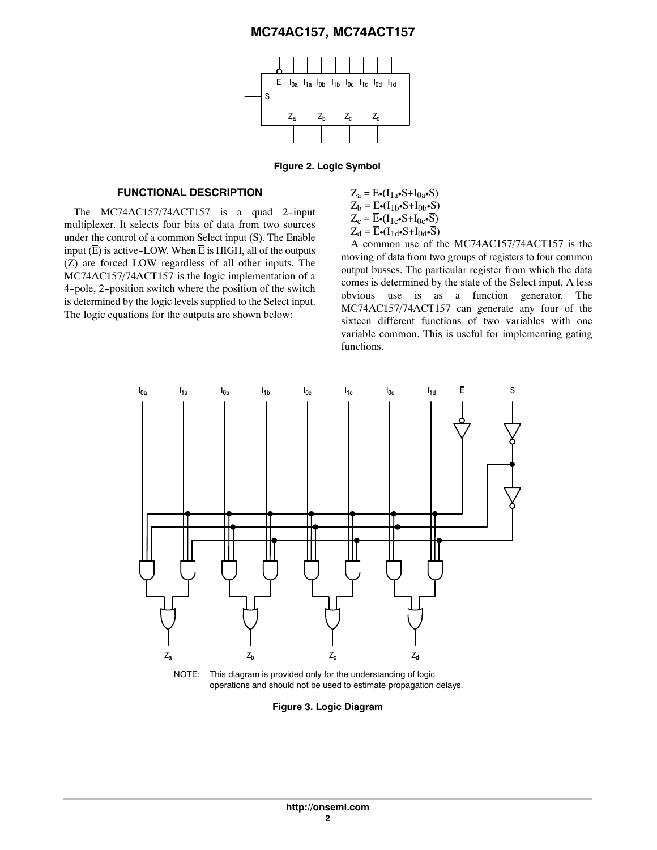

**Figure 2. Logic Symbol**

#### **FUNCTIONAL DESCRIPTION**

The MC74AC157/74ACT157 is a quad 2-input multiplexer. It selects four bits of data from two sources under the control of a common Select input (S). The Enable input  $(\overline{E})$  is active-LOW. When  $\overline{E}$  is HIGH, all of the outputs (Z) are forced LOW regardless of all other inputs. The MC74AC157/74ACT157 is the logic implementation of a 4-pole, 2-position switch where the position of the switch is determined by the logic levels supplied to the Select input. The logic equations for the outputs are shown below:

$$
Z_a = \overline{E} \cdot (I_{1a} \cdot S + I_{0a} \cdot \overline{S})
$$
  
\n
$$
Z_b = \overline{E} \cdot (I_{1b} \cdot S + I_{0b} \cdot \overline{S})
$$
  
\n
$$
Z_c = \overline{E} \cdot (I_{1c} \cdot S + I_{0c} \cdot \overline{S})
$$
  
\n
$$
Z_d = \overline{E} \cdot (I_{1d} \cdot S + I_{0d} \cdot \overline{S})
$$

A common use of the MC74AC157/74ACT157 is the moving of data from two groups of registers to four common output busses. The particular register from which the data comes is determined by the state of the Select input. A less obvious use is as a function generator. The MC74AC157/74ACT157 can generate any four of the sixteen different functions of two variables with one variable common. This is useful for implementing gating functions.



NOTE: This diagram is provided only for the understanding of logic operations and should not be used to estimate propagation delays.

**Figure 3. Logic Diagram**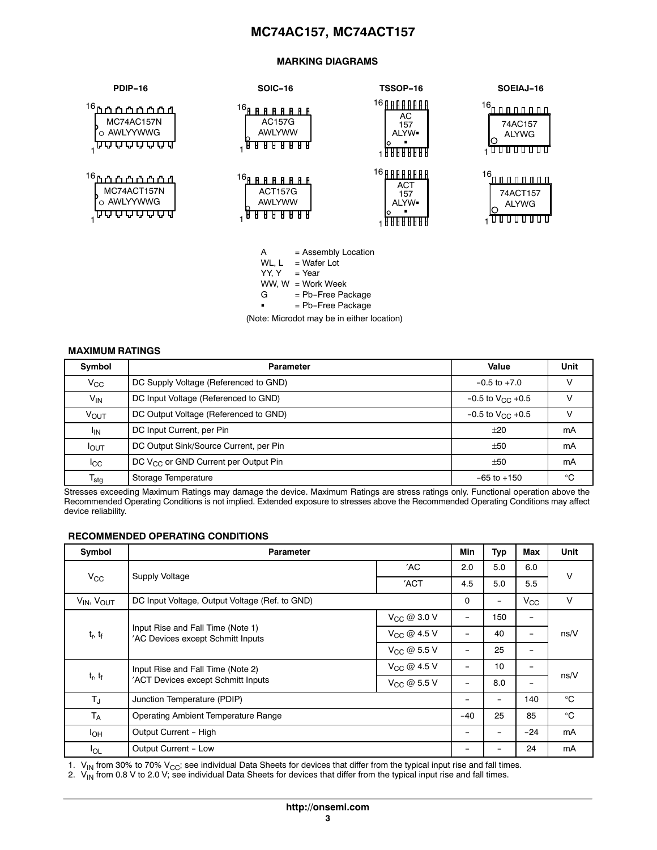#### **MARKING DIAGRAMS**

<span id="page-2-0"></span>

| PDIP-16                                                                                | <b>SOIC-16</b>                                                                       | <b>TSSOP-16</b>                                                       | SOEIAJ-16                                                       |
|----------------------------------------------------------------------------------------|--------------------------------------------------------------------------------------|-----------------------------------------------------------------------|-----------------------------------------------------------------|
| <sup>16</sup> ր<br>ስሰሰሰሰሰ<br>MC74AC157N<br>o AWLYYWWG<br><u>ן</u> קר קר קר קר קר קר קר | 16 <sub>p</sub><br><b>A A A A A A A</b><br>AC157G<br>AWLYWW<br><b>ARB</b><br>н<br>н. | <sup>16</sup> AAAAAAAA<br>AC<br>157<br>ALYW.<br><b>FUUUUUUU</b>       | $16 - 0.0000000$<br>74AC157<br>ALYWG<br>100000000               |
| <sup>16</sup> ካጥ ጥ <u>ጥጥጥ</u> ሲ<br>MC74ACT157N<br>o AWLYYWWG<br>₩₩₩₩₩₩                 | 16ը<br><b>A A A A A A A</b><br><b>ACT157G</b><br>AWLYWW<br><b>A A A A</b><br>H       | <b>16 AAAAAAAA</b><br><b>ACT</b><br>157<br>ALYW.<br><u>FFFFFFFFFF</u> | 16.<br><u>ה תחממו</u> ת ה'<br>74ACT157<br><b>ALYWG</b><br>गा गा |

A = Assembly Location WL,  $L = Water Lot$  $YY, Y = Year$  $WW, W = Work Week$ = Pb-Free Package  ${\bf G}$ = Pb-Free Package

(Note: Microdot may be in either location)

## **MAXIMUM RATINGS**

| Symbol                    | <b>Parameter</b>                          | Value                  | Unit |
|---------------------------|-------------------------------------------|------------------------|------|
| $V_{\rm CC}$              | DC Supply Voltage (Referenced to GND)     | $-0.5$ to $+7.0$       |      |
| $V_{IN}$                  | DC Input Voltage (Referenced to GND)      | $-0.5$ to $V_{C}$ +0.5 |      |
| <b>VOUT</b>               | DC Output Voltage (Referenced to GND)     | $-0.5$ to $V_{C}$ +0.5 |      |
| <sup>I</sup> IN           | DC Input Current, per Pin                 | $+20$                  | mA   |
| <b>I</b> OUT              | DC Output Sink/Source Current, per Pin    | ±50                    | mA   |
| $_{\rm lcc}$              | DC $V_{CC}$ or GND Current per Output Pin | ±50                    | mA   |
| $\mathsf{T}_{\text{stg}}$ | Storage Temperature                       | $-65$ to $+150$        | °C   |

Stresses exceeding Maximum Ratings may damage the device. Maximum Ratings are stress ratings only. Functional operation above the Recommended Operating Conditions is not implied. Extended exposure to stresses above the Recommended Operating Conditions may affect device reliability.

#### **RECOMMENDED OPERATING CONDITIONS**

| Symbol                          | <b>Parameter</b>                                                       |                   | Min                      | <b>Typ</b> | <b>Max</b>               | <b>Unit</b>  |  |
|---------------------------------|------------------------------------------------------------------------|-------------------|--------------------------|------------|--------------------------|--------------|--|
|                                 | Supply Voltage                                                         | 'AC               | 2.0                      | 5.0        | 6.0                      | V            |  |
| $V_{\rm CC}$                    |                                                                        | 'ACT              | 4.5                      | 5.0        | 5.5                      |              |  |
| V <sub>IN</sub> , VOUT          | DC Input Voltage, Output Voltage (Ref. to GND)                         |                   | $\mathbf{0}$             |            | $V_{CC}$                 | V            |  |
|                                 |                                                                        | $V_{CC}$ @ 3.0 V  | -                        | 150        | -                        |              |  |
| $t_r$ , $t_f$                   | Input Rise and Fall Time (Note 1)<br>'AC Devices except Schmitt Inputs | $V_{CC}$ @ 4.5 V  | $\overline{\phantom{0}}$ | 40         | -                        | ns/V         |  |
|                                 |                                                                        | $V_{CC}$ @ 5.5 V  |                          | 25         |                          |              |  |
|                                 | Input Rise and Fall Time (Note 2)                                      | $V_{CC} @ 4.5 V$  |                          | 10         | -                        | ns/V         |  |
| t <sub>r</sub> , t <sub>f</sub> | 'ACT Devices except Schmitt Inputs                                     | $V_{CC}$ @ 5.5 V  | $\overline{\phantom{0}}$ | 8.0        | $\overline{\phantom{0}}$ |              |  |
| $T_{J}$                         | Junction Temperature (PDIP)                                            |                   |                          | -          | 140                      | $^{\circ}$ C |  |
| $T_A$                           | <b>Operating Ambient Temperature Range</b>                             | $-40$             | 25                       | 85         | $^{\circ}$ C             |              |  |
| $I_{OH}$                        | Output Current - High                                                  | $\qquad \qquad -$ | -                        | $-24$      | mA                       |              |  |
| $I_{OL}$                        | Output Current - Low                                                   |                   |                          |            | 24                       | mA           |  |

1.  $V_{\text{IN}}$  from 30% to 70%  $V_{\text{CC}}$ ; see individual Data Sheets for devices that differ from the typical input rise and fall times.

2.  $\ V_{\sf IN}$  from 0.8 V to 2.0 V; see individual Data Sheets for devices that differ from the typical input rise and fall times.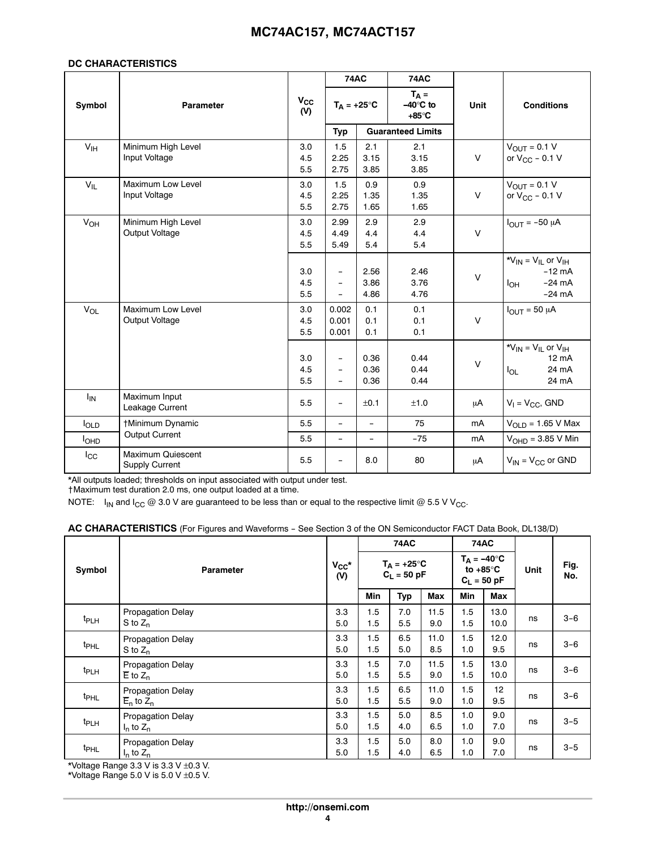#### **DC CHARACTERISTICS**

|                 |                                                   |                   | <b>74AC</b>                                                               |                          | <b>74AC</b>                          |        |                                                                                      |
|-----------------|---------------------------------------------------|-------------------|---------------------------------------------------------------------------|--------------------------|--------------------------------------|--------|--------------------------------------------------------------------------------------|
| Symbol          | <b>Parameter</b>                                  | $V_{CC}$<br>(V)   | $T_A = +25^\circ C$                                                       |                          | $T_A =$<br>$-40^\circ C$ to<br>+85°C | Unit   | <b>Conditions</b>                                                                    |
|                 |                                                   |                   | <b>Typ</b>                                                                |                          | <b>Guaranteed Limits</b>             |        |                                                                                      |
| V <sub>IH</sub> | Minimum High Level<br>Input Voltage               | 3.0<br>4.5<br>5.5 | 1.5<br>2.25<br>2.75                                                       | 2.1<br>3.15<br>3.85      | 2.1<br>3.15<br>3.85                  | $\vee$ | $V_{\text{OUT}} = 0.1 V$<br>or $V_{CC}$ – 0.1 V                                      |
| $V_{IL}$        | Maximum Low Level<br>Input Voltage                | 3.0<br>4.5<br>5.5 | 1.5<br>2.25<br>2.75                                                       | 0.9<br>1.35<br>1.65      | 0.9<br>1.35<br>1.65                  | $\vee$ | $V_{\text{OUT}} = 0.1 V$<br>or $V_{CC}$ – 0.1 V                                      |
| VOH             | Minimum High Level<br>Output Voltage              | 3.0<br>4.5<br>5.5 | 2.99<br>4.49<br>5.49                                                      | 2.9<br>4.4<br>5.4        | 2.9<br>4.4<br>5.4                    | $\vee$ | $I_{\text{OUT}} = -50 \mu A$                                                         |
|                 |                                                   | 3.0<br>4.5<br>5.5 | $\overline{\phantom{0}}$<br>$\qquad \qquad -$<br>$\overline{\phantom{0}}$ | 2.56<br>3.86<br>4.86     | 2.46<br>3.76<br>4.76                 | $\vee$ | * $V_{IN}$ = $V_{IL}$ or $V_{IH}$<br>$-12$ mA<br>$-24 \text{ mA}$<br>Iон<br>$-24$ mA |
| $V_{OL}$        | Maximum Low Level<br>Output Voltage               | 3.0<br>4.5<br>5.5 | 0.002<br>0.001<br>0.001                                                   | 0.1<br>0.1<br>0.1        | 0.1<br>0.1<br>0.1                    | $\vee$ | $I_{OUT}$ = 50 µA                                                                    |
|                 |                                                   | 3.0<br>4.5<br>5.5 | $\qquad \qquad -$<br>$\overline{\phantom{0}}$<br>$\overline{\phantom{0}}$ | 0.36<br>0.36<br>0.36     | 0.44<br>0.44<br>0.44                 | $\vee$ | * $V_{IN}$ = $V_{IL}$ or $V_{IH}$<br>$12 \text{ mA}$<br>24 mA<br>$I_{OL}$<br>24 mA   |
| ΙM              | Maximum Input<br>Leakage Current                  | 5.5               | $\qquad \qquad -$                                                         | ±0.1                     | ±1.0                                 | μA     | $V_1 = V_{CC}$ , GND                                                                 |
| $I_{OLD}$       | †Minimum Dynamic                                  | 5.5               | $\overline{\phantom{0}}$                                                  | $\overline{\phantom{0}}$ | 75                                   | mA     | $V_{OLD} = 1.65$ V Max                                                               |
| <b>I</b> OHD    | <b>Output Current</b>                             | 5.5               | $\overline{\phantom{0}}$                                                  | $\overline{\phantom{0}}$ | $-75$                                | mA     | $VOHD = 3.85 V Min$                                                                  |
| $I_{\rm CC}$    | <b>Maximum Quiescent</b><br><b>Supply Current</b> | 5.5               | $\overline{\phantom{a}}$                                                  | 8.0                      | 80                                   | μA     | $V_{IN}$ = $V_{CC}$ or GND                                                           |

\*All outputs loaded; thresholds on input associated with output under test.

†Maximum test duration 2.0 ms, one output loaded at a time.

NOTE:  $I_{IN}$  and  $I_{CC}$  @ 3.0 V are guaranteed to be less than or equal to the respective limit @ 5.5 V V<sub>CC</sub>.

|                  | <b>Parameter</b>                                      | $V_{CC}$ *<br>(V) | <b>74AC</b>                           |            |             | 74AC                                                       |              | <b>Unit</b> | Fig.<br>No. |
|------------------|-------------------------------------------------------|-------------------|---------------------------------------|------------|-------------|------------------------------------------------------------|--------------|-------------|-------------|
| Symbol           |                                                       |                   | $T_A = +25^{\circ}C$<br>$C_1 = 50 pF$ |            |             | $T_A = -40^\circ C$<br>to $+85^{\circ}$ C<br>$C_L = 50$ pF |              |             |             |
|                  |                                                       |                   | <b>Min</b>                            | <b>Typ</b> | Max         | <b>Min</b>                                                 | Max          |             |             |
| t <sub>PLH</sub> | <b>Propagation Delay</b><br>$S$ to $Z_n$              | 3.3<br>5.0        | 1.5<br>1.5                            | 7.0<br>5.5 | 11.5<br>9.0 | 1.5<br>1.5                                                 | 13.0<br>10.0 | ns          | $3-6$       |
| t <sub>PHL</sub> | <b>Propagation Delay</b><br>$S$ to $Z_n$              | 3.3<br>5.0        | 1.5<br>1.5                            | 6.5<br>5.0 | 11.0<br>8.5 | 1.5<br>1.0                                                 | 12.0<br>9.5  | ns          | $3 - 6$     |
| t <sub>PLH</sub> | <b>Propagation Delay</b><br>$\overline{E}$ to $Z_n$   | 3.3<br>5.0        | 1.5<br>1.5                            | 7.0<br>5.5 | 11.5<br>9.0 | 1.5<br>1.5                                                 | 13.0<br>10.0 | ns          | $3 - 6$     |
| t <sub>PHL</sub> | <b>Propagation Delay</b><br>$\overline{E}_n$ to $Z_n$ | 3.3<br>5.0        | 1.5<br>1.5                            | 6.5<br>5.5 | 11.0<br>9.0 | 1.5<br>1.0                                                 | 12<br>9.5    | ns          | $3-6$       |
| t <sub>PLH</sub> | <b>Propagation Delay</b><br>$I_n$ to $Z_n$            | 3.3<br>5.0        | 1.5<br>1.5                            | 5.0<br>4.0 | 8.5<br>6.5  | 1.0<br>1.0                                                 | 9.0<br>7.0   | ns          | $3 - 5$     |
| t <sub>PHL</sub> | <b>Propagation Delay</b><br>$I_n$ to $Z_n$            | 3.3<br>5.0        | 1.5<br>1.5                            | 5.0<br>4.0 | 8.0<br>6.5  | 1.0<br>1.0                                                 | 9.0<br>7.0   | ns          | $3 - 5$     |

\*Voltage Range 3.3 V is 3.3 V  $\pm$ 0.3 V.

\*Voltage Range 5.0 V is 5.0 V  $\pm$ 0.5 V.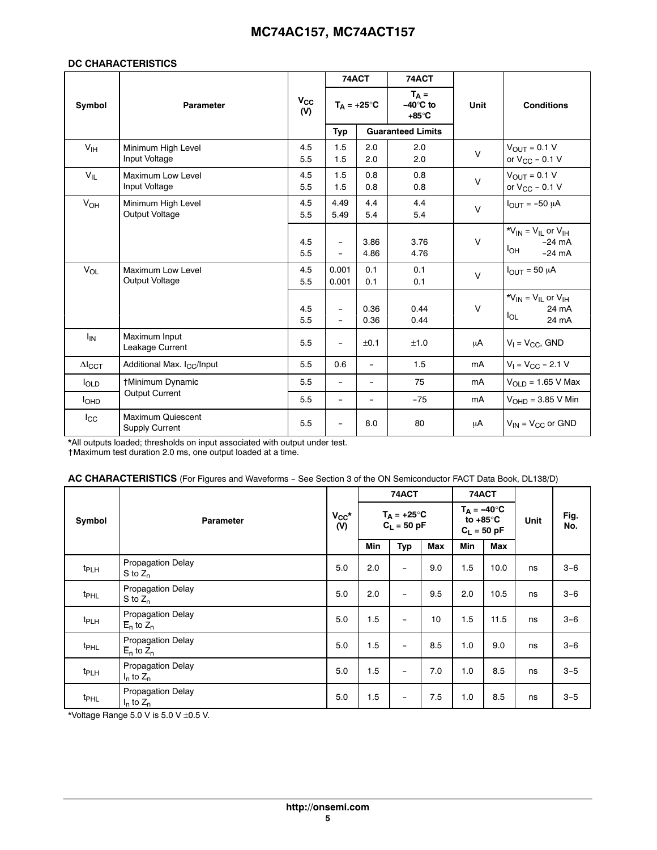## **DC CHARACTERISTICS**

|                           |                                                   | 74ACT           |                                                      |                          | 74ACT                                        |        |                                                                               |
|---------------------------|---------------------------------------------------|-----------------|------------------------------------------------------|--------------------------|----------------------------------------------|--------|-------------------------------------------------------------------------------|
| Symbol                    | <b>Parameter</b>                                  | $V_{CC}$<br>(V) |                                                      | $T_A = +25^{\circ}C$     | $T_A =$<br>$-40^\circ C$ to<br>$+85^\circ$ C | Unit   | <b>Conditions</b>                                                             |
|                           |                                                   |                 | Typ                                                  |                          | <b>Guaranteed Limits</b>                     |        |                                                                               |
| $V_{IH}$                  | Minimum High Level<br>Input Voltage               | 4.5<br>5.5      | 1.5<br>1.5                                           | 2.0<br>2.0               | 2.0<br>2.0                                   | $\vee$ | $V_{OUT} = 0.1 V$<br>or $V_{CC}$ - 0.1 V                                      |
| $V_{IL}$                  | Maximum Low Level<br>Input Voltage                | 4.5<br>5.5      | 1.5<br>1.5                                           | 0.8<br>0.8               | 0.8<br>0.8                                   | $\vee$ | $V_{\text{OUT}} = 0.1 V$<br>or $V_{CC}$ - 0.1 V                               |
| $V_{OH}$                  | Minimum High Level<br>Output Voltage              | 4.5<br>5.5      | 4.49<br>5.49                                         | 4.4<br>5.4               | 4.4<br>5.4                                   | $\vee$ | $I_{OUT} = -50 \mu A$                                                         |
|                           |                                                   | 4.5<br>5.5      | $\overline{\phantom{a}}$<br>$\overline{\phantom{0}}$ | 3.86<br>4.86             | 3.76<br>4.76                                 | $\vee$ | $*V_{IN} = V_{IL}$ or $V_{IH}$<br>$-24 \text{ mA}$<br>Іон<br>$-24 \text{ mA}$ |
| $V_{OL}$                  | <b>Maximum Low Level</b><br>Output Voltage        | 4.5<br>5.5      | 0.001<br>0.001                                       | 0.1<br>0.1               | 0.1<br>0.1                                   | $\vee$ | $I_{OUT} = 50 \mu A$                                                          |
|                           |                                                   | 4.5<br>5.5      | $\overline{\phantom{0}}$<br>$\overline{\phantom{0}}$ | 0.36<br>0.36             | 0.44<br>0.44                                 | $\vee$ | $*V_{IN} = V_{IL}$ or $V_{IH}$<br>24 mA<br>$I_{OL}$<br>24 mA                  |
| <sup>I</sup> IN           | Maximum Input<br>Leakage Current                  | 5.5             | $\overline{\phantom{0}}$                             | ±0.1                     | ±1.0                                         | μA     | $V_1 = V_{CC}$ , GND                                                          |
| $\Delta I$ <sub>CCT</sub> | Additional Max. I <sub>CC</sub> /Input            | 5.5             | 0.6                                                  | $\overline{\phantom{a}}$ | 1.5                                          | mA     | $V_1 = V_{CC} - 2.1 V$                                                        |
| $I_{OLD}$                 | †Minimum Dynamic                                  | 5.5             | $\qquad \qquad -$                                    | $\overline{\phantom{a}}$ | 75                                           | mA     | $VOLD = 1.65 V Max$                                                           |
| <b>I</b> OHD              | <b>Output Current</b>                             | 5.5             | $\overline{\phantom{0}}$                             | $\overline{a}$           | $-75$                                        | mA     | $VOHD = 3.85 V Min$                                                           |
| $_{\rm lcc}$              | <b>Maximum Quiescent</b><br><b>Supply Current</b> | 5.5             |                                                      | 8.0                      | 80                                           | μA     | $V_{IN}$ = $V_{CC}$ or GND                                                    |

\*All outputs loaded; thresholds on input associated with output under test. †Maximum test duration 2.0 ms, one output loaded at a time.

|  | AC CHARACTERISTICS (For Figures and Waveforms - See Section 3 of the ON Semiconductor FACT Data Book, DL138/D) |  |
|--|----------------------------------------------------------------------------------------------------------------|--|
|  |                                                                                                                |  |

|                            |                                                       |                   |                                       | 74ACT                    |                                                            |            | 74ACT |             |         |
|----------------------------|-------------------------------------------------------|-------------------|---------------------------------------|--------------------------|------------------------------------------------------------|------------|-------|-------------|---------|
| Symbol<br><b>Parameter</b> |                                                       | $V_{CC}$ *<br>(V) | $T_A = +25^{\circ}C$<br>$C_L = 50$ pF |                          | $T_A = -40^\circ C$<br>to $+85^{\circ}$ C<br>$C_L = 50 pF$ |            | Unit  | Fig.<br>No. |         |
|                            |                                                       |                   | Min                                   | Typ                      | Max                                                        | <b>Min</b> | Max   |             |         |
| t <sub>PLH</sub>           | <b>Propagation Delay</b><br>S to $Z_n$                | 5.0               | 2.0                                   | $\qquad \qquad -$        | 9.0                                                        | 1.5        | 10.0  | ns          | $3 - 6$ |
| t <sub>PHL</sub>           | <b>Propagation Delay</b><br>S to $Z_n$                | 5.0               | 2.0                                   | -                        | 9.5                                                        | 2.0        | 10.5  | ns          | $3 - 6$ |
| t <sub>PLH</sub>           | <b>Propagation Delay</b><br>$\overline{E}_n$ to $Z_n$ | 5.0               | 1.5                                   | -                        | 10                                                         | 1.5        | 11.5  | ns          | $3 - 6$ |
| t <sub>PHL</sub>           | <b>Propagation Delay</b><br>$\overline{E}_n$ to $Z_n$ | 5.0               | 1.5                                   | $\overline{\phantom{0}}$ | 8.5                                                        | 1.0        | 9.0   | ns          | $3 - 6$ |
| t <sub>PLH</sub>           | <b>Propagation Delay</b><br>$I_n$ to $Z_n$            | 5.0               | 1.5                                   | -                        | 7.0                                                        | 1.0        | 8.5   | ns          | $3 - 5$ |
| t <sub>PHL</sub>           | <b>Propagation Delay</b><br>$I_n$ to $Z_n$            | 5.0               | 1.5                                   | -                        | 7.5                                                        | 1.0        | 8.5   | ns          | $3 - 5$ |

\*Voltage Range 5.0 V is 5.0 V ±0.5 V.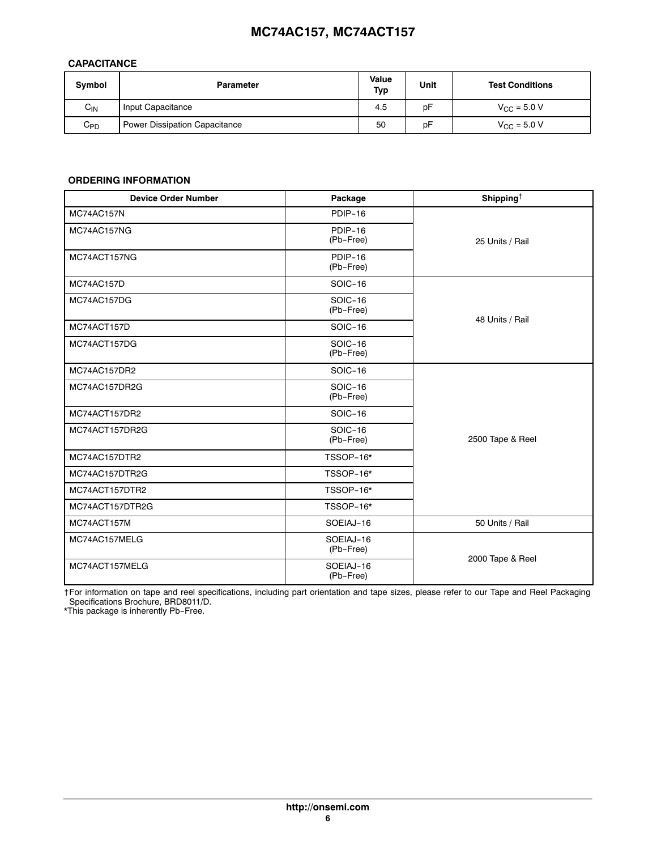# <span id="page-5-0"></span>**CAPACITANCE**

| Symbol   | <b>Parameter</b>                     | Value<br>Typ | Unit | <b>Test Conditions</b>  |
|----------|--------------------------------------|--------------|------|-------------------------|
| $C_{IN}$ | Input Capacitance                    | 4.5          | рF   | $V_{\text{CC}} = 5.0 V$ |
| $C_{PD}$ | <b>Power Dissipation Capacitance</b> | 50           | рF   | $V_{\text{CC}} = 5.0 V$ |

# **ORDERING INFORMATION**

| <b>Device Order Number</b> | Package                     | Shipping <sup>+</sup> |  |  |
|----------------------------|-----------------------------|-----------------------|--|--|
| MC74AC157N                 | PDIP-16                     | 25 Units / Rail       |  |  |
| MC74AC157NG                | PDIP-16<br>(Pb-Free)        |                       |  |  |
| MC74ACT157NG               | PDIP-16<br>(Pb-Free)        |                       |  |  |
| MC74AC157D                 | SOIC-16                     |                       |  |  |
| MC74AC157DG                | <b>SOIC-16</b><br>(Pb-Free) |                       |  |  |
| MC74ACT157D                | SOIC-16                     | 48 Units / Rail       |  |  |
| MC74ACT157DG               | <b>SOIC-16</b><br>(Pb-Free) |                       |  |  |
| MC74AC157DR2               | SOIC-16                     |                       |  |  |
| MC74AC157DR2G              | SOIC-16<br>(Pb-Free)        |                       |  |  |
| MC74ACT157DR2              | SOIC-16                     |                       |  |  |
| MC74ACT157DR2G             | SOIC-16<br>(Pb-Free)        | 2500 Tape & Reel      |  |  |
| MC74AC157DTR2              | TSSOP-16*                   |                       |  |  |
| MC74AC157DTR2G             | TSSOP-16*                   |                       |  |  |
| MC74ACT157DTR2             | TSSOP-16*                   |                       |  |  |
| MC74ACT157DTR2G            | TSSOP-16*                   |                       |  |  |
| MC74ACT157M                | SOEIAJ-16                   | 50 Units / Rail       |  |  |
| MC74AC157MELG              | SOEIAJ-16<br>(Pb-Free)      | 2000 Tape & Reel      |  |  |
| MC74ACT157MELG             | SOEIAJ-16<br>(Pb-Free)      |                       |  |  |

†For information on tape and reel specifications, including part orientation and tape sizes, please refer to our Tape and Reel Packaging Specifications Brochure, BRD8011/D.

\*This package is inherently Pb-Free.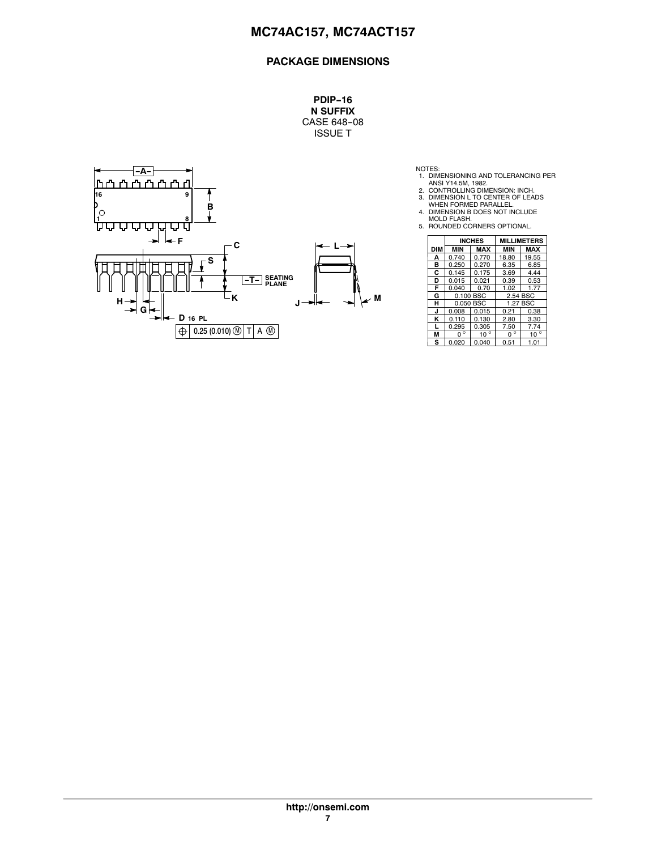**PDIP-16 N SUFFIX** CASE 648-08 ISSUE T



NOTES:<br>
1. DIMENSIONING AND TOLERANCING PER<br>
2. CONTROLLING DIMENSION: INCH.<br>
3. DIMENSION L TO CENTER OF LEADS<br>
3. WHEN FORMED PARALLEL.<br>
4. DIMENSION B DOES NOT INCLUDE<br>
4. DIMENSION B DOES NOT INCLUDE<br>
5. ROUNDED CORNER

- 
- 
- 
- 

|            |             | <b>INCHES</b> | <b>MILLIMETERS</b> |              |
|------------|-------------|---------------|--------------------|--------------|
| <b>DIM</b> | <b>MIN</b>  | MAX           | <b>MIN</b>         | <b>MAX</b>   |
| А          | 0.740       | 0.770         | 18.80              | 19.55        |
| в          | 0.250       | 0.270         | 6.35               | 6.85         |
| C          | 0.145       | 0.175         | 3.69               | 4.44         |
| D          | 0.015       | 0.021         | 0.39               | 0.53         |
| F          | 0.040       | 0.70          | 1.02               | 1.77         |
| G          | 0.100 BSC   |               | 2.54 BSC           |              |
| н          | 0.050 BSC   |               | 1.27 BSC           |              |
| J          | 0.008       | 0.015         | 0.21               | 0.38         |
| κ          | 0.110       | 0.130         | 2.80               | 3.30         |
|            | 0.295       | 0.305         | 7.50               | 7.74         |
| М          | $0^{\circ}$ | $10^{\circ}$  | $0^{\circ}$        | $10^{\circ}$ |
| s          | 0.020       | 0.040         | 0.51               | 1.01         |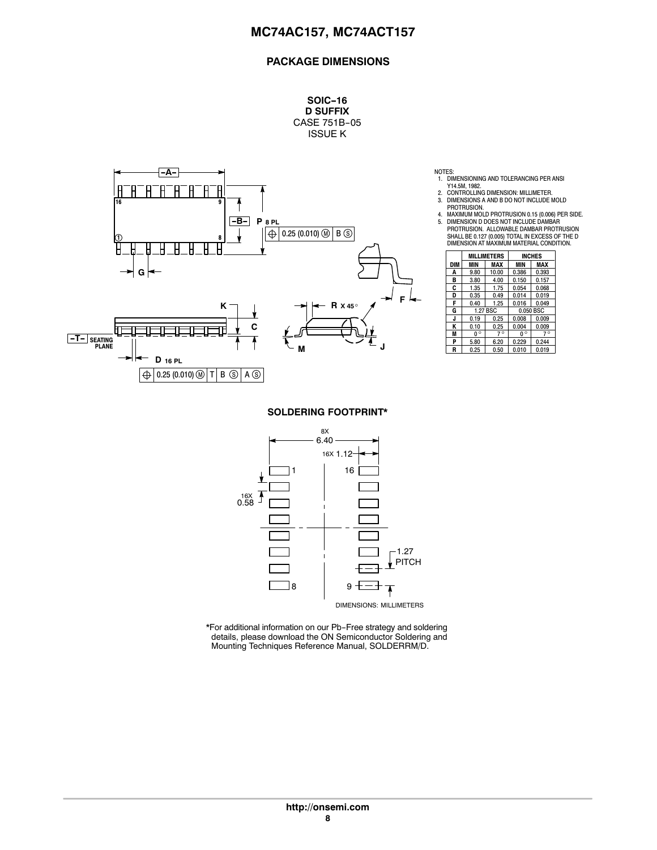**SOIC-16 D SUFFIX** CASE 751B-05 ISSUE K



NOTES:

- 1. DIMENSIONING AND TOLERANCING PER ANSI
- Y14.5M, 1982. 2. CONTROLLING DIMENSION: MILLIMETER. 3. DIMENSIONS A AND B DO NOT INCLUDE MOLD PROTRUSION.
- 4. MAXIMUM MOLD PROTRUSION 0.15 (0.006) PER SIDE. 5. DIMENSION D DOES NOT INCLUDE DAMBAR PROTRUSION. ALLOWABLE DAMBAR PROTRUSION SHALL BE 0.127 (0.005) TOTAL IN EXCESS OF THE D

|            |             | <b>MILLIMETERS</b> |             | <b>INCHES</b> |
|------------|-------------|--------------------|-------------|---------------|
| <b>DIM</b> | MIN         | MAX                | MIN         | MAX           |
| Α          | 9.80        | 10.00              | 0.386       | 0.393         |
| в          | 3.80        | 4.00               | 0.150       | 0.157         |
| C          | 1.35        | 1.75               | 0.054       | 0.068         |
| D          | 0.35        | 0.49               | 0.014       | 0.019         |
| F          | 0.40        | 1.25               | 0.016       | 0.049         |
| G          |             | 1.27 BSC           |             | 0.050 BSC     |
| J          | 0.19        | 0.25               | 0.008       | 0.009         |
| ĸ          | 0.10        | 0.25               | 0.004       | 0.009         |
| M          | $0^{\circ}$ | $7^\circ$          | $0^{\circ}$ | $7^{\circ}$   |
| P          | 5.80        | 6.20               | 0.229       | 0.244         |
| R          | 0.25        | 0.50               | 0.010       | 0.019         |

**SOLDERING FOOTPRINT\***



\*For additional information on our Pb-Free strategy and soldering details, please download the ON Semiconductor Soldering and Mounting Techniques Reference Manual, SOLDERRM/D.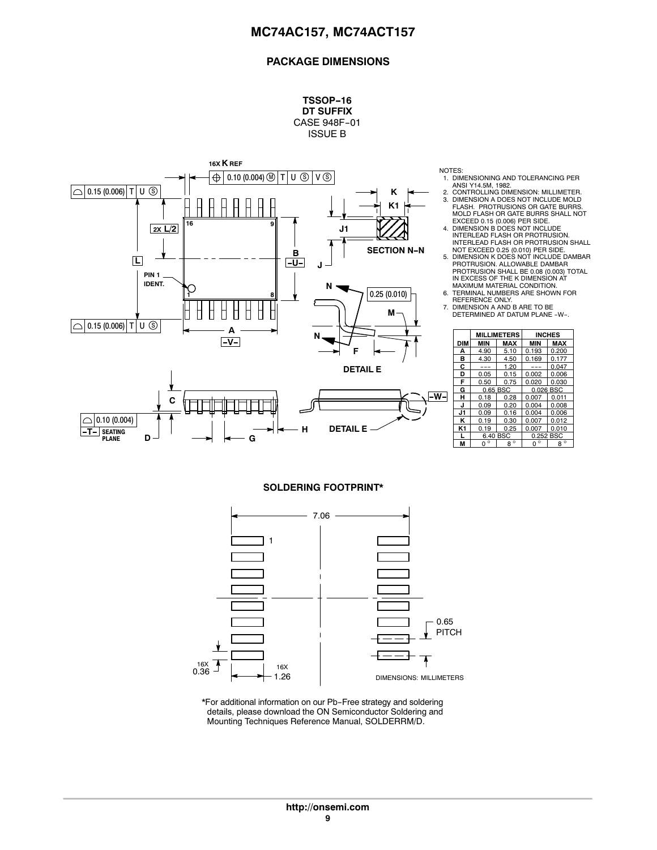**TSSOP-16 DT SUFFIX** CASE 948F-01



NOTES:

- 1. DIMENSIONING AND TOLERANCING PER ANSI Y14.5M, 1982.
- 2. CONTROLLING DIMENSION: MILLIMETER. 3. DIMENSION A DOES NOT INCLUDE MOLD FLASH. PROTRUSIONS OR GATE BURRS.
- <u>nisa mandan di sensa di sensa di sensa di sensa di sensa di sensa di sensa di sensa di sensa di sensa di sensa</u> ÇÇÇ MOLD FLASH OR GATE BURRS SHALL NOT<br>EXCEED 0.15 (0.006) PER SIDE.<br>4. DIMENSION B DOES NOT INCLUDE<br>INTERLEAD FLASH OR PROTRUSION.<br>INTERLEAD FLASH OR PROTRUSION SHALL<br>NOT EXCEED 0.25 (0.010) PER SIDE.<br>5. DIMENSION K DOES NOT
	- PROTRUSION SHALL BE 0.08 (0.003) TOTAL IN EXCESS OF THE K DIMENSION AT
	- MAXIMUM MATERIAL CONDITION. 6. TERMINAL NUMBERS ARE SHOWN FOR
	- REFERENCE ONLY. 7. DIMENSION A AND B ARE TO BE DETERMINED AT DATUM PLANE -W-.

|                | <b>MILLIMETERS</b> |            | <b>INCHES</b> |              |
|----------------|--------------------|------------|---------------|--------------|
| <b>DIM</b>     | <b>MIN</b>         | <b>MAX</b> | <b>MIN</b>    | <b>MAX</b>   |
| А              | 4.90               | 5.10       | 0.193         | 0.200        |
| в              | 4.30               | 4.50       | 0.169         | 0.177        |
| C              |                    | 1.20       |               | 0.047        |
| D              | 0.05               | 0.15       | 0.002         | 0.006        |
| F              | 0.50               | 0.75       | 0.020         | 0.030        |
| G              |                    | 0.65 BSC   | 0.026 BSC     |              |
| н              | 0.18               | 0.28       | 0.007         | 0.011        |
| .ı             | 0.09               | 0.20       | 0.004         | 0.008        |
| J1             | 0.09               | 0.16       | 0.004         | 0.006        |
| ĸ              | 0.19               | 0.30       | 0.007         | 0.012        |
| K <sub>1</sub> | 0.19               | 0.25       | 0.007         | 0.010        |
| L              | 6.40 BSC           |            | 0.252 BSC     |              |
| М              | $\circ$<br>n       | $8^\circ$  | $\circ$<br>ŋ  | $\circ$<br>8 |

#### **SOLDERING FOOTPRINT\***



\*For additional information on our Pb-Free strategy and soldering details, please download the ON Semiconductor Soldering and Mounting Techniques Reference Manual, SOLDERRM/D.